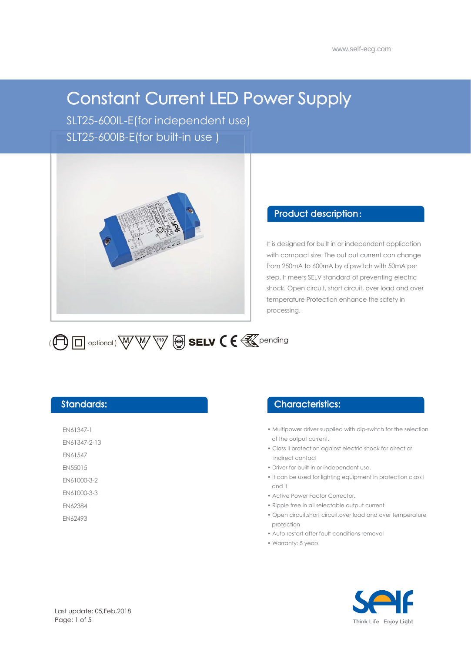# Constant Current LED Power Supply

SLT25-600IL-E(for independent use) SLT25-600IB-E(for built-in use )



### Product description :

It is designed for built in or independent application with compact size. The out put current can change from 250mA to 600mA by dipswitch with 50mA per step. It meets SELV standard of preventing electric shock. Open circuit, short circuit, over load and over temperature Protection enhance the safety in processing.



## Standards:

EN61347-1

EN61347-2-13

EN61547

EN55015 EN61000-3-2

EN61000-3-3

EN62384

EN62493

## Characteristics:

- Multipower driver supplied with dip-switch for the selection of the output current.
- Class II protection against electric shock for direct or indirect contact
- Driver for built-in or independent use.
- It can be used for lighting equipment in protection class I and II
- Active Power Factor Corrector.
- Ripple free in all selectable output current
- Open circuit,short circuit,over load and over temperature protection
- Auto restart after fault conditions removal
- Warranty: 5 years

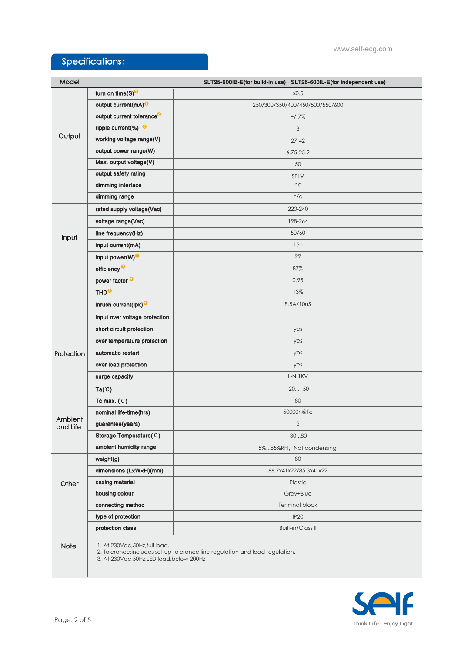# Specifications:

| Model               |                                                                             | SLT25-600IB-E(for build-in use) SLT25-600IL-E(for independent use)           |
|---------------------|-----------------------------------------------------------------------------|------------------------------------------------------------------------------|
| Output              | turn on time(S) <sup>O</sup>                                                | $\leq 0.5$                                                                   |
|                     | output current(mA) <sup>O</sup>                                             | 250/300/350/400/450/500/550/600                                              |
|                     | output current tolerance <sup>9</sup>                                       | $+/-7%$                                                                      |
|                     | ripple current(%) $\Theta$                                                  | 3                                                                            |
|                     | working voltage range(V)                                                    | $27 - 42$                                                                    |
|                     | output power range(W)                                                       | $6.75 - 25.2$                                                                |
|                     | Max. output voltage(V)                                                      | 50                                                                           |
|                     | output safety rating                                                        | SELV                                                                         |
|                     | dimming interface                                                           | no                                                                           |
|                     | dimming range                                                               | n/a                                                                          |
| Input               | rated supply voltage(Vac)                                                   | 220-240                                                                      |
|                     | voltage range(Vac)                                                          | 198-264                                                                      |
|                     | line frequency(Hz)                                                          | 50/60                                                                        |
|                     | input current(mA)                                                           | 150                                                                          |
|                     | input power(W) <sup>O</sup>                                                 | 29                                                                           |
|                     | efficiency <sup>O</sup>                                                     | 87%                                                                          |
|                     | power factor <sup>0</sup>                                                   | 0.95                                                                         |
|                     | THD <sup>O</sup>                                                            | 13%                                                                          |
|                     | inrush current(lpk) <sup>0</sup>                                            | 8.5A/10uS                                                                    |
|                     | input over voltage protection                                               |                                                                              |
| Protection          | short circuit protection                                                    | yes                                                                          |
|                     | over temperature protection                                                 | yes                                                                          |
|                     | automatic restart                                                           | yes                                                                          |
|                     | over load protection                                                        | yes                                                                          |
|                     | surge capacity                                                              | $L-N:1KV$                                                                    |
| Ambient<br>and Life | Ta(C)                                                                       | $-20+50$                                                                     |
|                     | Tc max. $(C)$                                                               | 80                                                                           |
|                     | nominal life-time(hrs)                                                      | 50000h@Tc                                                                    |
|                     | guarantee(years)                                                            | 5                                                                            |
|                     | Storage Temperature(C)                                                      | $-3080$                                                                      |
|                     | ambient humidity range                                                      | 5%85%RH, Not condensing                                                      |
| Other               | weight(g)                                                                   | 80                                                                           |
|                     | dimensions (LxWxH)(mm)                                                      | 66.7x41x22/85.3x41x22                                                        |
|                     | casing material                                                             | Plastic                                                                      |
|                     | housing colour                                                              | Grey+Blue                                                                    |
|                     | connecting method                                                           | <b>Terminal block</b>                                                        |
|                     | type of protection                                                          | <b>IP20</b>                                                                  |
|                     | protection class                                                            | <b>Built-in/Class II</b>                                                     |
| Note                | 1. At 230Vac, 50Hz, full load.<br>3. At 230Vac, 50Hz, LED load, below 200Hz | 2. Tolerance:includes set up tolerance, line regulation and load regulation. |

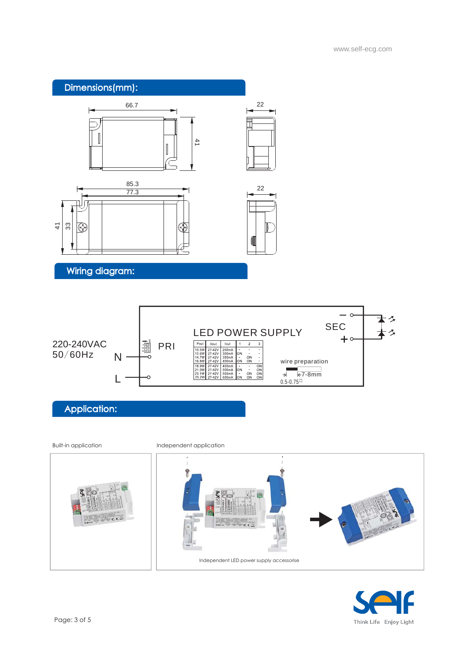



# Application:





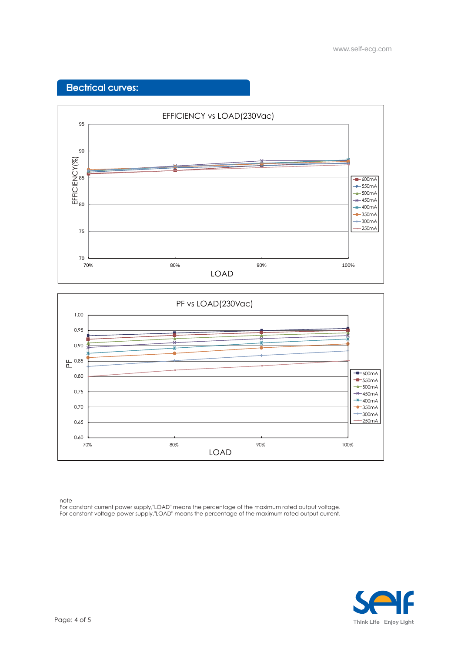## Electrical curves:





note

For constant current power supply,"LOAD" means the percentage of the maximum rated output voltage. For constant voltage power supply,"LOAD" means the percentage of the maximum rated output current.